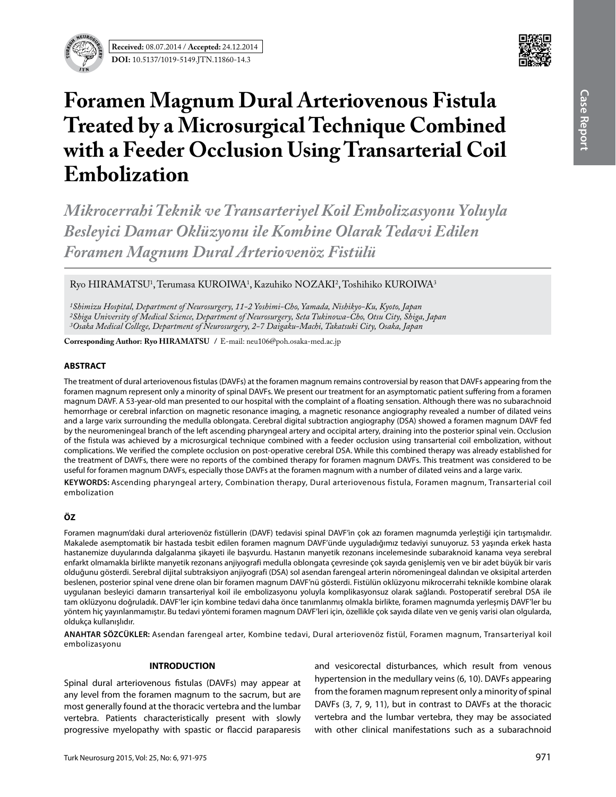

# **Foramen Magnum Dural Arteriovenous Fistula Treated by a Microsurgical Technique Combined with a Feeder Occlusion Using Transarterial Coil Embolization**

*Mikrocerrahi Teknik ve Transarteriyel Koil Embolizasyonu Yoluyla Besleyici Damar Oklüzyonu ile Kombine Olarak Tedavi Edilen Foramen Magnum Dural Arteriovenöz Fistülü*

Ryo HIRAMATSU<sup>1</sup>, Terumasa KUROIWA<sup>1</sup>, Kazuhiko NOZAKI<sup>2</sup>, Toshihiko KUROIWA<sup>3</sup>

*1Shimizu Hospital, Department of Neurosurgery, 11-2 Yoshimi-Cho, Yamada, Nishikyo-Ku, Kyoto, Japan 2Shiga University of Medical Science, Department of Neurosurgery, Seta Tukinowa-Cho, Otsu City, Shiga, Japan 3Osaka Medical College, Department of Neurosurgery, 2-7 Daigaku-Machi, Takatsuki City, Osaka, Japan*

**Corresponding Author: Ryo HIRAMATSU /** E-mail: neu106@poh.osaka-med.ac.jp

### **ABSTRACT**

The treatment of dural arteriovenous fistulas (DAVFs) at the foramen magnum remains controversial by reason that DAVFs appearing from the foramen magnum represent only a minority of spinal DAVFs. We present our treatment for an asymptomatic patient suffering from a foramen magnum DAVF. A 53-year-old man presented to our hospital with the complaint of a floating sensation. Although there was no subarachnoid hemorrhage or cerebral infarction on magnetic resonance imaging, a magnetic resonance angiography revealed a number of dilated veins and a large varix surrounding the medulla oblongata. Cerebral digital subtraction angiography (DSA) showed a foramen magnum DAVF fed by the neuromeningeal branch of the left ascending pharyngeal artery and occipital artery, draining into the posterior spinal vein. Occlusion of the fistula was achieved by a microsurgical technique combined with a feeder occlusion using transarterial coil embolization, without complications. We verified the complete occlusion on post-operative cerebral DSA. While this combined therapy was already established for the treatment of DAVFs, there were no reports of the combined therapy for foramen magnum DAVFs. This treatment was considered to be useful for foramen magnum DAVFs, especially those DAVFs at the foramen magnum with a number of dilated veins and a large varix.

**Keywords:** Ascending pharyngeal artery, Combination therapy, Dural arteriovenous fistula, Foramen magnum, Transarterial coil embolization

## **ÖZ**

Foramen magnum'daki dural arteriovenöz fistüllerin (DAVF) tedavisi spinal DAVF'in çok azı foramen magnumda yerleştiği için tartışmalıdır. Makalede asemptomatik bir hastada tesbit edilen foramen magnum DAVF'ünde uyguladığımız tedaviyi sunuyoruz. 53 yaşında erkek hasta hastanemize duyularında dalgalanma şikayeti ile başvurdu. Hastanın manyetik rezonans incelemesinde subaraknoid kanama veya serebral enfarkt olmamakla birlikte manyetik rezonans anjiyografi medulla oblongata çevresinde çok sayıda genişlemiş ven ve bir adet büyük bir varis olduğunu gösterdi. Serebral dijital subtraksiyon anjiyografi (DSA) sol asendan farengeal arterin nöromeningeal dalından ve oksipital arterden beslenen, posterior spinal vene drene olan bir foramen magnum DAVF'nü gösterdi. Fistülün oklüzyonu mikrocerrahi teknikle kombine olarak uygulanan besleyici damarın transarteriyal koil ile embolizasyonu yoluyla komplikasyonsuz olarak sağlandı. Postoperatif serebral DSA ile tam oklüzyonu doğruladık. DAVF'ler için kombine tedavi daha önce tanımlanmış olmakla birlikte, foramen magnumda yerleşmiş DAVF'ler bu yöntem hiç yayınlanmamıştır. Bu tedavi yöntemi foramen magnum DAVF'leri için, özellikle çok sayıda dilate ven ve geniş varisi olan olgularda, oldukça kullanışlıdır.

**ANAHTAR SÖZCÜKLER:** Asendan farengeal arter, Kombine tedavi, Dural arteriovenöz fistül, Foramen magnum, Transarteriyal koil embolizasyonu

### **INTRODUCTION**

Spinal dural arteriovenous fistulas (DAVFs) may appear at any level from the foramen magnum to the sacrum, but are most generally found at the thoracic vertebra and the lumbar vertebra. Patients characteristically present with slowly progressive myelopathy with spastic or flaccid paraparesis

and vesicorectal disturbances, which result from venous hypertension in the medullary veins (6, 10). DAVFs appearing from the foramen magnum represent only a minority of spinal DAVFs (3, 7, 9, 11), but in contrast to DAVFs at the thoracic vertebra and the lumbar vertebra, they may be associated with other clinical manifestations such as a subarachnoid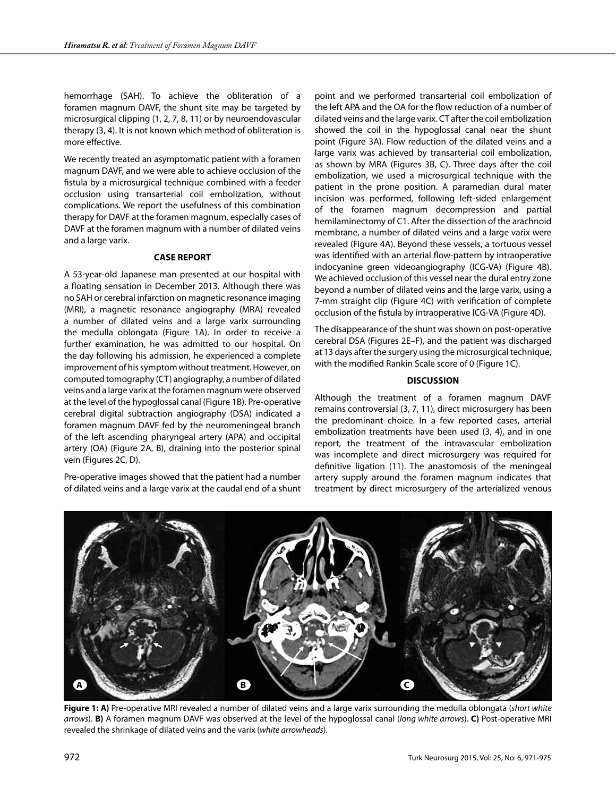hemorrhage (SAH). To achieve the obliteration of a foramen magnum DAVF, the shunt site may be targeted by microsurgical clipping (1, 2, 7, 8, 11) or by neuroendovascular therapy (3, 4). It is not known which method of obliteration is more effective.

We recently treated an asymptomatic patient with a foramen magnum DAVF, and we were able to achieve occlusion of the fistula by a microsurgical technique combined with a feeder occlusion using transarterial coil embolization, without complications. We report the usefulness of this combination therapy for DAVF at the foramen magnum, especially cases of DAVF at the foramen magnum with a number of dilated veins and a large varix.

### **CASE REPORT**

A 53-year-old Japanese man presented at our hospital with a floating sensation in December 2013. Although there was no SAH or cerebral infarction on magnetic resonance imaging (MRI), a magnetic resonance angiography (MRA) revealed a number of dilated veins and a large varix surrounding the medulla oblongata (Figure 1A). In order to receive a further examination, he was admitted to our hospital. On the day following his admission, he experienced a complete improvement of his symptom without treatment. However, on computed tomography (CT) angiography, a number of dilated veins and a large varix at the foramen magnum were observed at the level of the hypoglossal canal (Figure 1B). Pre-operative cerebral digital subtraction angiography (DSA) indicated a foramen magnum DAVF fed by the neuromeningeal branch of the left ascending pharyngeal artery (APA) and occipital artery (OA) (Figure 2A, B), draining into the posterior spinal vein (Figures 2C, D).

Pre-operative images showed that the patient had a number of dilated veins and a large varix at the caudal end of a shunt

point and we performed transarterial coil embolization of the left APA and the OA for the flow reduction of a number of dilated veins and the large varix. CT after the coil embolization showed the coil in the hypoglossal canal near the shunt point (Figure 3A). Flow reduction of the dilated veins and a large varix was achieved by transarterial coil embolization, as shown by MRA (Figures 3B, C). Three days after the coil embolization, we used a microsurgical technique with the patient in the prone position. A paramedian dural mater incision was performed, following left-sided enlargement of the foramen magnum decompression and partial hemilaminectomy of C1. After the dissection of the arachnoid membrane, a number of dilated veins and a large varix were revealed (Figure 4A). Beyond these vessels, a tortuous vessel was identified with an arterial flow-pattern by intraoperative indocyanine green videoangiography (ICG-VA) (Figure 4B). We achieved occlusion of this vessel near the dural entry zone beyond a number of dilated veins and the large varix, using a 7-mm straight clip (Figure 4C) with verification of complete occlusion of the fistula by intraoperative ICG-VA (Figure 4D).

The disappearance of the shunt was shown on post-operative cerebral DSA (Figures 2E–F), and the patient was discharged at 13 days after the surgery using the microsurgical technique, with the modified Rankin Scale score of 0 (Figure 1C).

### **DISCUSSION**

Although the treatment of a foramen magnum DAVF remains controversial (3, 7, 11), direct microsurgery has been the predominant choice. In a few reported cases, arterial embolization treatments have been used (3, 4), and in one report, the treatment of the intravascular embolization was incomplete and direct microsurgery was required for definitive ligation (11). The anastomosis of the meningeal artery supply around the foramen magnum indicates that treatment by direct microsurgery of the arterialized venous



**Figure 1: A)** Pre-operative MRI revealed a number of dilated veins and a large varix surrounding the medulla oblongata (*short white arrows*). **B)** A foramen magnum DAVF was observed at the level of the hypoglossal canal (*long white arrows*). **C)** Post-operative MRI revealed the shrinkage of dilated veins and the varix (*white arrowheads*).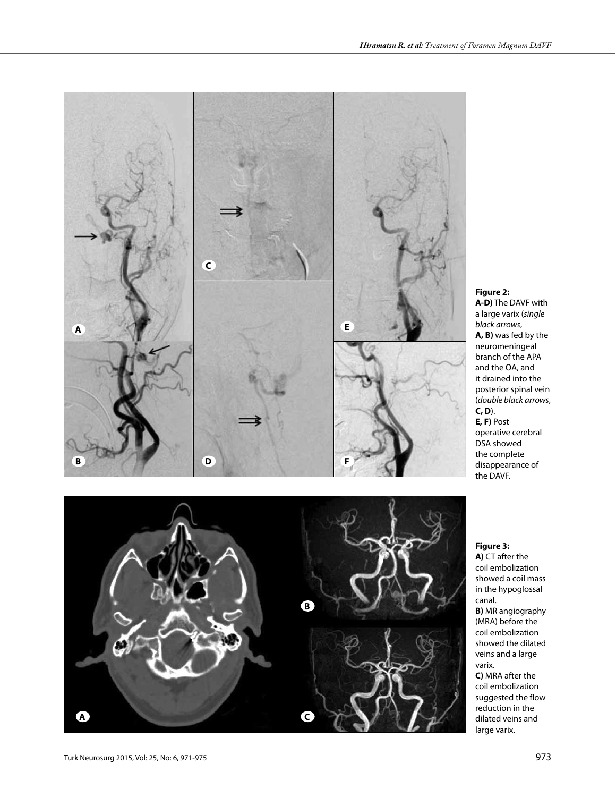*black arrows*, **A, B)** was fed by the neuromeningeal branch of the APA and the OA, and it drained into the posterior spinal vein (*double black arrows*, **C, D**).

**E, F)** Postoperative cerebral DSA showed the complete disappearance of the DAVF.

**Figure 3:**

**A)** CT after the coil embolization showed a coil mass in the hypoglossal canal. **B)** MR angiography (MRA) before the coil embolization showed the dilated veins and a large varix. **C)** MRA after the

coil embolization suggested the flow reduction in the dilated veins and large varix.



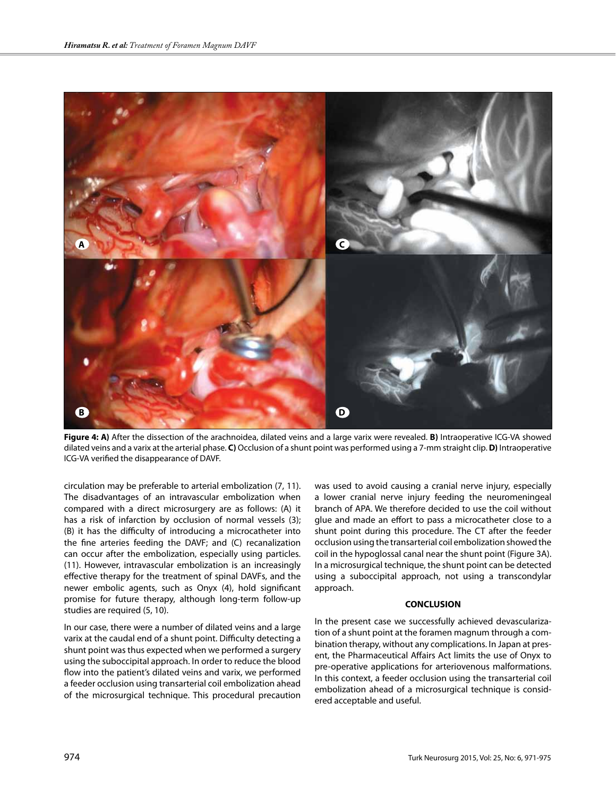

**Figure 4: A)** After the dissection of the arachnoidea, dilated veins and a large varix were revealed. **B)** Intraoperative ICG-VA showed dilated veins and a varix at the arterial phase. **C)** Occlusion of a shunt point was performed using a 7-mm straight clip. **D)** Intraoperative ICG-VA verified the disappearance of DAVF.

circulation may be preferable to arterial embolization (7, 11). The disadvantages of an intravascular embolization when compared with a direct microsurgery are as follows: (A) it has a risk of infarction by occlusion of normal vessels (3); (B) it has the difficulty of introducing a microcatheter into the fine arteries feeding the DAVF; and (C) recanalization can occur after the embolization, especially using particles. (11). However, intravascular embolization is an increasingly effective therapy for the treatment of spinal DAVFs, and the newer embolic agents, such as Onyx (4), hold significant promise for future therapy, although long-term follow-up studies are required (5, 10).

In our case, there were a number of dilated veins and a large varix at the caudal end of a shunt point. Difficulty detecting a shunt point was thus expected when we performed a surgery using the suboccipital approach. In order to reduce the blood flow into the patient's dilated veins and varix, we performed a feeder occlusion using transarterial coil embolization ahead of the microsurgical technique. This procedural precaution was used to avoid causing a cranial nerve injury, especially a lower cranial nerve injury feeding the neuromeningeal branch of APA. We therefore decided to use the coil without glue and made an effort to pass a microcatheter close to a shunt point during this procedure. The CT after the feeder occlusion using the transarterial coil embolization showed the coil in the hypoglossal canal near the shunt point (Figure 3A). In a microsurgical technique, the shunt point can be detected using a suboccipital approach, not using a transcondylar approach.

### **CONCLUSION**

In the present case we successfully achieved devascularization of a shunt point at the foramen magnum through a combination therapy, without any complications. In Japan at present, the Pharmaceutical Affairs Act limits the use of Onyx to pre-operative applications for arteriovenous malformations. In this context, a feeder occlusion using the transarterial coil embolization ahead of a microsurgical technique is considered acceptable and useful.